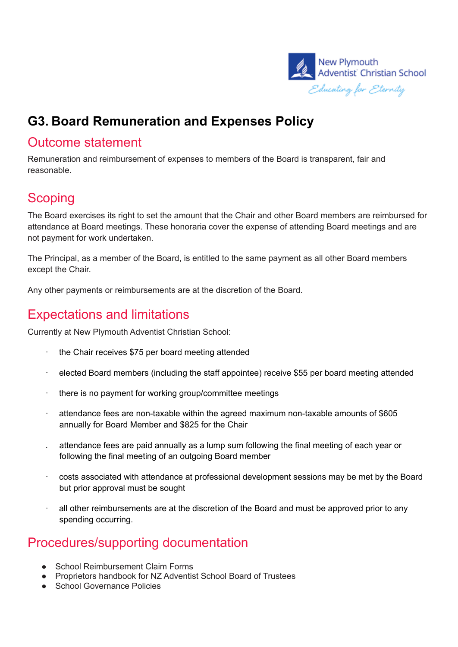

# **G3. Board Remuneration and Expenses Policy**

#### Outcome statement

Remuneration and reimbursement of expenses to members of the Board is transparent, fair and reasonable.

# **Scoping**

The Board exercises its right to set the amount that the Chair and other Board members are reimbursed for attendance at Board meetings. These honoraria cover the expense of attending Board meetings and are not payment for work undertaken.

The Principal, as a member of the Board, is entitled to the same payment as all other Board members except the Chair.

Any other payments or reimbursements are at the discretion of the Board.

### Expectations and limitations

Currently at New Plymouth Adventist Christian School:

- · the Chair receives \$75 per board meeting attended
- · elected Board members (including the staff appointee) receive \$55 per board meeting attended
- · there is no payment for working group/committee meetings
- attendance fees are non-taxable within the agreed maximum non-taxable amounts of \$605 annually for Board Member and \$825 for the Chair
- . attendance fees are paid annually as a lump sum following the final meeting of each year or following the final meeting of an outgoing Board member
- · costs associated with attendance at professional development sessions may be met by the Board but prior approval must be sought
- all other reimbursements are at the discretion of the Board and must be approved prior to any spending occurring.

### Procedures/supporting documentation

- School Reimbursement Claim Forms
- Proprietors handbook for NZ Adventist School Board of Trustees
- School Governance Policies